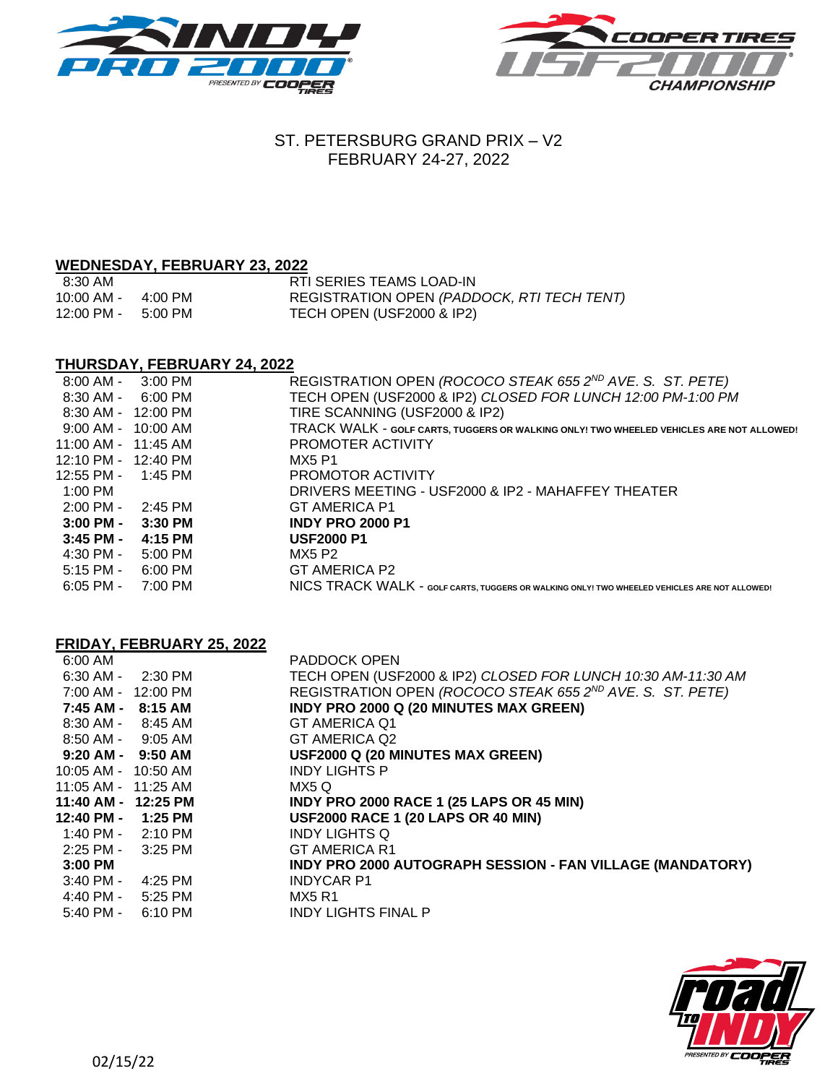



# ST. PETERSBURG GRAND PRIX – V2 FEBRUARY 24-27, 2022

# **WEDNESDAY, FEBRUARY 23, 2022**

| 8:30 AM                              |         | RTI SERIES TEAMS LOAD-IN                   |
|--------------------------------------|---------|--------------------------------------------|
| 10:00 AM -                           | 4:00 PM | REGISTRATION OPEN (PADDOCK, RTI TECH TENT) |
| $12:00 \text{ PM} - 5:00 \text{ PM}$ |         | TECH OPEN (USF2000 & IP2)                  |

## **THURSDAY, FEBRUARY 24, 2022**

| $8:00$ AM -                              | 3:00 PM   | REGISTRATION OPEN (ROCOCO STEAK 655 2ND AVE. S. ST. PETE)                                    |
|------------------------------------------|-----------|----------------------------------------------------------------------------------------------|
| 8:30 AM -                                | 6:00 PM   | TECH OPEN (USF2000 & IP2) CLOSED FOR LUNCH 12:00 PM-1:00 PM                                  |
| 8:30 AM - 12:00 PM                       |           | TIRE SCANNING (USF2000 & IP2)                                                                |
| $9:00 \, \text{AM} - 10:00 \, \text{AM}$ |           | TRACK WALK - GOLF CARTS, TUGGERS OR WALKING ONLY! TWO WHEELED VEHICLES ARE NOT ALLOWED!      |
| $11:00$ AM - $11:45$ AM                  |           | PROMOTER ACTIVITY                                                                            |
| 12:10 PM - 12:40 PM                      |           | MX5 P1                                                                                       |
| 12:55 PM -                               | 1:45 PM   | PROMOTOR ACTIVITY                                                                            |
| 1:00 PM                                  |           | DRIVERS MEETING - USF2000 & IP2 - MAHAFFEY THEATER                                           |
| $2:00$ PM -                              | 2:45 PM   | <b>GT AMERICA P1</b>                                                                         |
| $3:00$ PM -                              | 3:30 PM   | <b>INDY PRO 2000 P1</b>                                                                      |
| $3:45$ PM -                              | 4:15 PM   | <b>USF2000 P1</b>                                                                            |
| 4:30 PM -                                | $5:00$ PM | MX5 P2                                                                                       |
| $5:15$ PM -                              | 6:00 PM   | GT AMERICA P2                                                                                |
| $6:05$ PM -                              | 7:00 PM   | NICS TRACK WALK - GOLF CARTS, TUGGERS OR WALKING ONLY! TWO WHEELED VEHICLES ARE NOT ALLOWED! |

## **FRIDAY, FEBRUARY 25, 2022**

| 6:00 AM               |         | <b>PADDOCK OPEN</b>                                                   |
|-----------------------|---------|-----------------------------------------------------------------------|
| $6:30$ AM - $2:30$ PM |         | TECH OPEN (USF2000 & IP2) CLOSED FOR LUNCH 10:30 AM-11:30 AM          |
| 7:00 AM - 12:00 PM    |         | REGISTRATION OPEN (ROCOCO STEAK 655 2 <sup>ND</sup> AVE. S. ST. PETE) |
| 7:45 AM -             | 8:15 AM | INDY PRO 2000 Q (20 MINUTES MAX GREEN)                                |
| $8:30$ AM - $8:45$ AM |         | <b>GT AMERICA Q1</b>                                                  |
| $8:50$ AM - $9:05$ AM |         | GT AMERICA Q2                                                         |
| $9:20$ AM - $9:50$ AM |         | <b>USF2000 Q (20 MINUTES MAX GREEN)</b>                               |
| 10:05 AM - 10:50 AM   |         | <b>INDY LIGHTS P</b>                                                  |
| 11:05 AM - 11:25 AM   |         | MX5 Q                                                                 |
| 11:40 AM - 12:25 PM   |         | <b>INDY PRO 2000 RACE 1 (25 LAPS OR 45 MIN)</b>                       |
| 12:40 PM -            | 1:25 PM | <b>USF2000 RACE 1 (20 LAPS OR 40 MIN)</b>                             |
| 1:40 PM -             | 2:10 PM | <b>INDY LIGHTS Q</b>                                                  |
| 2:25 PM -             | 3:25 PM | <b>GT AMERICA R1</b>                                                  |
| $3:00$ PM             |         | INDY PRO 2000 AUTOGRAPH SESSION - FAN VILLAGE (MANDATORY)             |
| $3:40$ PM -           | 4:25 PM | <b>INDYCAR P1</b>                                                     |
| $4:40$ PM - $5:25$ PM |         | <b>MX5 R1</b>                                                         |
| $5:40$ PM -           | 6:10 PM | <b>INDY LIGHTS FINAL P</b>                                            |